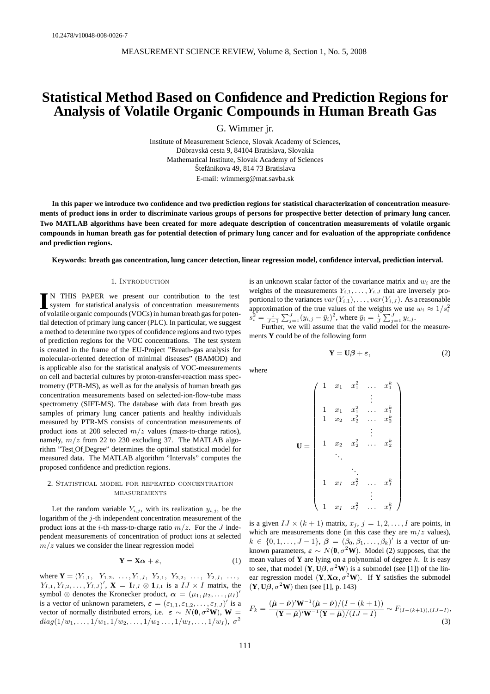# **Statistical Method Based on Confidence and Prediction Regions for Analysis of Volatile Organic Compounds in Human Breath Gas**

G. Wimmer jr.

Institute of Measurement Science, Slovak Academy of Sciences, Dúbravská cesta 9, 84104 Bratislava, Slovakia Mathematical Institute, Slovak Academy of Sciences Štefánikova 49, 814 73 Bratislava E-mail: wimmerg@mat.savba.sk

**In this paper we introduce two confidence and two prediction regions for statistical characterization of concentration measurements of product ions in order to discriminate various groups of persons for prospective better detection of primary lung cancer. Two MATLAB algorithms have been created for more adequate description of concentration measurements of volatile organic compounds in human breath gas for potential detection of primary lung cancer and for evaluation of the appropriate confidence and prediction regions.**

**Keywords: breath gas concentration, lung cancer detection, linear regression model, confidence interval, prediction interval.**

## 1. Introduction

**I**N THIS PAPER we present our contribution to the test<br>system for statistical analysis of concentration measurements<br>of volatile organic compounds (VOCs) in human breath as for noten N THIS PAPER we present our contribution to the test of volatile organic compounds (VOCs) in human breath gas for potential detection of primary lung cancer (PLC). In particular, we suggest a method to determine two types of confidence regions and two types of prediction regions for the VOC concentrations. The test system is created in the frame of the EU-Project "Breath-gas analysis for molecular-oriented detection of minimal diseases" (BAMOD) and is applicable also for the statistical analysis of VOC-measurements on cell and bacterial cultures by proton-transfer-reaction mass spectrometry (PTR-MS), as well as for the analysis of human breath gas concentration measurements based on selected-ion-flow-tube mass spectrometry (SIFT-MS). The database with data from breath gas samples of primary lung cancer patients and healthy individuals measured by PTR-MS consists of concentration measurements of product ions at 208 selected  $m/z$  values (mass-to-charge ratios), namely,  $m/z$  from 22 to 230 excluding 37. The MATLAB algorithm "Test Of Degree" determines the optimal statistical model for measured data. The MATLAB algorithm "Intervals" computes the proposed confidence and prediction regions.

# 2. Statistical model for repeated concentration **MEASUREMENTS**

Let the random variable  $Y_{i,j}$ , with its realization  $y_{i,j}$ , be the logarithm of the  $j$ -th independent concentration measurement of the product ions at the *i*-th mass-to-charge ratio  $m/z$ . For the *J* independent measurements of concentration of product ions at selected  $m/z$  values we consider the linear regression model

$$
Y = X\alpha + \varepsilon, \tag{1}
$$

where  $\mathbf{Y} = (Y_{1,1}, Y_{1,2}, \ldots, Y_{1,J}, Y_{2,1}, Y_{2,2}, \ldots, Y_{2,J}, \ldots,$  $Y_{I,1}, Y_{I,2}, \ldots, Y_{I,J}$ ,  $\mathbf{X} = \mathbf{I}_{I,I} \otimes \mathbf{1}_{J,1}$  is a  $IJ \times I$  matrix, the symbol  $\otimes$  denotes the Kronecker product,  $\alpha = (\mu_1, \mu_2, \dots, \mu_I)'$ is a vector of unknown parameters,  $\varepsilon = (\varepsilon_{1,1}, \varepsilon_{1,2}, \ldots, \varepsilon_{I,J})'$  is a vector of normally distributed errors, i.e.  $\varepsilon \sim N(\mathbf{0}, \sigma^2 \mathbf{W})$ , **W** =  $diag(1/w_1, \ldots, 1/w_1, 1/w_2, \ldots, 1/w_2 \ldots, 1/w_I, \ldots, 1/w_I), \sigma^2$ 

is an unknown scalar factor of the covariance matrix and  $w_i$  are the weights of the measurements  $Y_{i,1}, \ldots, Y_{i,J}$  that are inversely proportional to the variances  $var(Y_{i,1}), \ldots, var(Y_{i,J})$ . As a reasonable approximation of the true values of the weights we use  $w_i \approx 1/s_i^2$  $s_i^2 = \frac{1}{J-1} \sum_{j=1}^J (y_{i,j} - \bar{y}_i)^2$ , where  $\bar{y}_i = \frac{1}{J} \sum_{j=1}^J y_{i,j}$ .

Further, we will assume that the valid model for the measurements **Y** could be of the following form

$$
\mathbf{Y} = \mathbf{U}\boldsymbol{\beta} + \boldsymbol{\varepsilon},\tag{2}
$$

where

$$
\mathbf{U} = \left( \begin{array}{ccccc} 1 & x_1 & x_1^2 & \dots & x_1^k \\ & \vdots & & \vdots \\ 1 & x_1 & x_1^2 & \dots & x_1^k \\ 1 & x_2 & x_2^2 & \dots & x_2^k \\ & \vdots & & \vdots \\ 1 & x_2 & x_2^2 & \dots & x_2^k \\ & \vdots & & \vdots \\ 1 & x_I & x_I^2 & \dots & x_I^k \\ & \vdots & & \vdots \\ 1 & x_I & x_I^2 & \dots & x_I^k \end{array} \right)
$$

is a given  $IJ \times (k + 1)$  matrix,  $x_j$ ,  $j = 1, 2, \ldots, I$  are points, in which are measurements done (in this case they are  $m/z$  values),  $k \in \{0, 1, \ldots, J-1\}, \ \boldsymbol{\beta} = (\beta_0, \beta_1, \ldots, \beta_k)'$  is a vector of unknown parameters,  $\varepsilon \sim N(\mathbf{0}, \sigma^2 \mathbf{W})$ . Model (2) supposes, that the mean values of **Y** are lying on a polynomial of degree  $k$ . It is easy to see, that model  $(Y, U\beta, \sigma^2 W)$  is a submodel (see [1]) of the linear regression model  $(Y, X\alpha, \sigma^2 W)$ . If Y satisfies the submodel  $(Y, U\beta, \sigma^2 W)$  then (see [1], p. 143)

$$
F_k = \frac{(\hat{\mu} - \hat{\nu})' \mathbf{W}^{-1} (\hat{\mu} - \hat{\nu}) / (I - (k+1))}{(\mathbf{Y} - \hat{\mu})' \mathbf{W}^{-1} (\mathbf{Y} - \hat{\mu}) / (IJ - I)} \sim F_{(I - (k+1)), (IJ - I)},
$$
\n(3)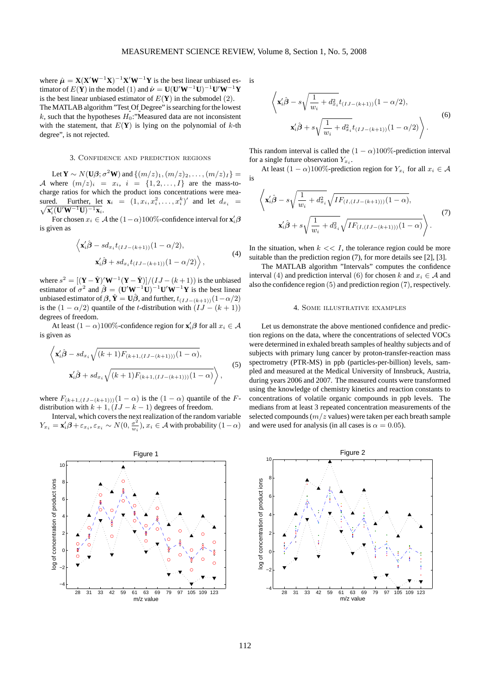where  $\hat{\mu} = \mathbf{X} (\mathbf{X}' \mathbf{W}^{-1} \mathbf{X})^{-1} \mathbf{X}' \mathbf{W}^{-1} \mathbf{Y}$  is the best linear unbiased estimator of  $E(\hat{\mathbf{Y}})$  in the model (1) and  $\hat{\boldsymbol{\nu}} = \mathbf{U}(\mathbf{U}'\mathbf{W}^{-1}\mathbf{U})^{-1}\mathbf{U}'\mathbf{W}^{-1}\mathbf{Y}$ is the best linear unbiased estimator of  $E(Y)$  in the submodel (2). The MATLAB algorithm "Test Of Degree" is searching for the lowest  $k$ , such that the hypotheses  $H_0$ :"Measured data are not inconsistent with the statement, that  $E(Y)$  is lying on the polynomial of  $k$ -th degree", is not rejected.

## 3. Confidence and prediction regions

Let **Y** ~  $N(\mathbf{U}\boldsymbol{\beta}; \sigma^2\mathbf{W})$  and  $\{(m/z)_1, (m/z)_2, \ldots, (m/z)_I\} =$ A where  $(m/z)_i = x_i$ ,  $i = \{1, 2, \ldots, I\}$  are the mass-tocharge ratios for which the product ions concentrations were measured. Further, let  $\mathbf{x}_i = (1, x_i, x_i^2, \dots, x_i^k)'$  and let  $d_{x_i} =$  $\sqrt{\mathbf{x}_i'(\mathbf{U}'\mathbf{W}^{-1}\mathbf{U})^{-1}\mathbf{x}_i}.$ 

For chosen  $x_i \in A$  the  $(1-\alpha)100\%$ -confidence interval for  $\mathbf{x}'_i\mathbf{\beta}$ is given as

$$
\left\langle \mathbf{x}'_i \hat{\boldsymbol{\beta}} - s d_{x_i} t_{(IJ - (k+1))} (1 - \alpha/2), \right. \left. \mathbf{x}'_i \hat{\boldsymbol{\beta}} + s d_{x_i} t_{(IJ - (k+1))} (1 - \alpha/2) \right\rangle,
$$
\n
$$
(4)
$$

where  $s^2 = [(\mathbf{Y} - \hat{\mathbf{Y}})' \mathbf{W}^{-1} (\mathbf{Y} - \hat{\mathbf{Y}})] / (IJ - (k+1))$  is the unbiased estimator of  $\sigma^2$  and  $\hat{\boldsymbol{\beta}} = (\mathbf{U}'\mathbf{W}^{-1}\mathbf{U})^{-1}\mathbf{U}'\mathbf{W}^{-1}\mathbf{Y}$  is the best linear unbiased estimator of  $\beta$ ,  $\hat{\mathbf{Y}} = \mathbf{U}\hat{\beta}$ , and further,  $t_{(IJ-(k+1))}(1-\alpha/2)$ is the  $(1 - \alpha/2)$  quantile of the t-distribution with  $(IJ - (k + 1))$ degrees of freedom.

At least  $(1 - \alpha)100\%$ -confidence region for  $\mathbf{x}'_i \boldsymbol{\beta}$  for all  $x_i \in \mathcal{A}$ is given as

$$
\left\langle \mathbf{x}_{i}'\hat{\boldsymbol{\beta}} - sd_{x_{i}}\sqrt{(k+1)F_{(k+1,(IJ-(k+1)))}(1-\alpha)}, \right.\n\mathbf{x}_{i}'\hat{\boldsymbol{\beta}} + sd_{x_{i}}\sqrt{(k+1)F_{(k+1,(IJ-(k+1)))}(1-\alpha)} \right\rangle, \tag{5}
$$

where  $F_{(k+1,(IJ-(k+1)))}(1-\alpha)$  is the  $(1-\alpha)$  quantile of the Fdistribution with  $k + 1$ ,  $(IJ - k - 1)$  degrees of freedom.

Interval, which covers the next realization of the random variable  $Y_{x_i} = \mathbf{x}'_i \boldsymbol{\beta} + \varepsilon_{x_i}, \varepsilon_{x_i} \sim N(0, \frac{\sigma^2}{w_i})$  $\frac{\sigma^2}{w_i}$ ),  $x_i \in \mathcal{A}$  with probability  $(1-\alpha)$ 



is

$$
\left\langle \mathbf{x}_{i}^{\prime} \hat{\beta} - s \sqrt{\frac{1}{w_{i}} + d_{x_{i}}^{2}} t_{(IJ - (k+1))} (1 - \alpha/2), \right. \left. \mathbf{x}_{i}^{\prime} \hat{\beta} + s \sqrt{\frac{1}{w_{i}} + d_{x_{i}}^{2}} t_{(IJ - (k+1))} (1 - \alpha/2) \right\rangle.
$$
\n(6)

This random interval is called the  $(1 - \alpha)100\%$ -prediction interval for a single future observation  $Y_{x_i}$ .

At least  $(1 - \alpha)100\%$ -prediction region for  $Y_{x_i}$  for all  $x_i \in \mathcal{A}$ is

$$
\left\langle \mathbf{x}'_i \hat{\boldsymbol{\beta}} - s \sqrt{\frac{1}{w_i} + d_{x_i}^2} \sqrt{IF_{(I,(IJ - (k+1)))}(1-\alpha)}, \right.\n\mathbf{x}'_i \hat{\boldsymbol{\beta}} + s \sqrt{\frac{1}{w_i} + d_{x_i}^2} \sqrt{IF_{(I,(IJ - (k+1)))}(1-\alpha)} \right\rangle.
$$
\n(7)

In the situation, when  $k \ll I$ , the tolerance region could be more suitable than the prediction region (7), for more details see [2], [3].

The MATLAB algorithm "Intervals" computes the confidence interval (4) and prediction interval (6) for chosen k and  $x_i \in A$  and also the confidence region (5) and prediction region (7), respectively.

#### 4. Some illustrative examples

Let us demonstrate the above mentioned confidence and prediction regions on the data, where the concentrations of selected VOCs were determined in exhaled breath samples of healthy subjects and of subjects with primary lung cancer by proton-transfer-reaction mass spectrometry (PTR-MS) in ppb (particles-per-billion) levels, sampled and measured at the Medical University of Innsbruck, Austria, during years 2006 and 2007. The measured counts were transformed using the knowledge of chemistry kinetics and reaction constants to concentrations of volatile organic compounds in ppb levels. The medians from at least 3 repeated concentration measurements of the selected compounds  $(m/z$  values) were taken per each breath sample and were used for analysis (in all cases is  $\alpha = 0.05$ ).